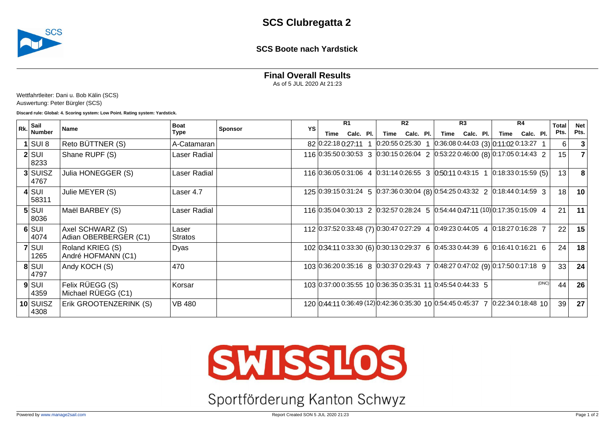

## **SCS Boote nach Yardstick**

**Final Overall Results**

As of 5 JUL 2020 At 21:23

Wettfahrtleiter: Dani u. Bob Kälin (SCS) Auswertung: Peter Bürgler (SCS)

**Discard rule: Global: 4. Scoring system: Low Point. Rating system: Yardstick.**

| $ R_{\mathbf{k}} $ Sail |                                           | <b>Boat</b>      |                | YS | R1   |           |  | R <sub>2</sub> |           |  | R3                                                                                                                |           |  | R4   |           |       | Total           | <b>Net</b> |
|-------------------------|-------------------------------------------|------------------|----------------|----|------|-----------|--|----------------|-----------|--|-------------------------------------------------------------------------------------------------------------------|-----------|--|------|-----------|-------|-----------------|------------|
| <b>Number</b>           | <b>Name</b>                               | Type             | <b>Sponsor</b> |    | Time | Calc. Pl. |  | Time           | Calc. Pl. |  | Time                                                                                                              | Calc. Pl. |  | Time | Calc. Pl. |       | Pts.            | Pts.       |
| I SUI 8                 | Reto BÜTTNER (S)                          | A-Catamaran      |                |    |      |           |  |                |           |  | 82 0:22:18 0:27:11 1 0:20:55 0:25:30 1 0:36:08 0:44:03 (3) 0:11:02 0:13:27 1                                      |           |  |      |           |       | 6               |            |
| $2$ SUI<br>8233         | Shane RUPF (S)                            | Laser Radial     |                |    |      |           |  |                |           |  | 116 0:35:50 0:30:53 3 0:30:15 0:26:04 2 0:53:22 0:46:00 (8) 0:17:05 0:14:43 2                                     |           |  |      |           |       | 15              |            |
| 3 SUISZ<br>4767         | Julia HONEGGER (S)                        | Laser Radial     |                |    |      |           |  |                |           |  | 116 $[0.36.05 \, 0.31.06 \, 4 \, 0.31.14 \, 0.26.55 \, 3 \, 0.50.11 \, 0.43.15 \, 1 \, 0.18.33 \, 0.15.59 \, (5)$ |           |  |      |           |       | 13              |            |
| $4$ SUI<br>58311        | Julie MEYER (S)                           | Laser 4.7        |                |    |      |           |  |                |           |  | 125 0:39:15 0:31:24 5 0:37:36 0:30:04 (8) 0:54:25 0:43:32 2 0:18:44 0:14:59 3                                     |           |  |      |           |       | 18              | 10         |
| $5$ SUI<br>8036         | Maël BARBEY (S)                           | Laser Radial     |                |    |      |           |  |                |           |  | 116 $ 0.35.04 0.30.13 \t2 \t  0.32.57 0.28.24 \t5 \t  0.54.44 0.47.11 (10)  0.17.35 0.15.09 \t4$                  |           |  |      |           |       | 21              | 11         |
| $6$ $SUI$<br>4074       | Axel SCHWARZ (S)<br>Adian OBERBERGER (C1) | Laser<br>Stratos |                |    |      |           |  |                |           |  | 112 0:37:52 0:33:48 (7) 0:30:47 0:27:29 4 0:49:23 0:44:05 4 0:18:27 0:16:28 7                                     |           |  |      |           |       | 22 <sub>1</sub> | 15         |
| $7$ SUI<br>1265         | Roland KRIEG (S)<br>André HOFMANN (C1)    | Dyas             |                |    |      |           |  |                |           |  | 102 0:34:11 0:33:30 (6) 0:30:13 0:29:37 6 0:45:33 0:44:39 6 0:16:41 0:16:21 6                                     |           |  |      |           |       | 24              | 18         |
| $8$ $SUI$<br>4797       | Andy KOCH (S)                             | 470              |                |    |      |           |  |                |           |  | 103 0:36:20 0:35:16 8 0:30:37 0:29:43 7 0:48:27 0:47:02 (9) 0:17:50 0:17:18 9                                     |           |  |      |           |       | 33              | 24         |
| $9$ $SUI$<br> 4359      | Felix RÜEGG (S)<br>Michael RÜEGG (C1)     | Korsar           |                |    |      |           |  |                |           |  | 103 0:37:00 0:35:55 10 0:36:35 0:35:31 11 0:45:54 0:44:33 5                                                       |           |  |      |           | (DNC) | 44              | 26         |
| 10 SUISZ<br>4308        | Erik GROOTENZERINK (S)                    | <b>VB 480</b>    |                |    |      |           |  |                |           |  | 120 0:44:11 0:36:49 (12) 0:42:36 0:35:30 10 0:54:45 0:45:37 7 0:22:34 0:18:48 10                                  |           |  |      |           |       | 39              | 27         |



Sportförderung Kanton Schwyz